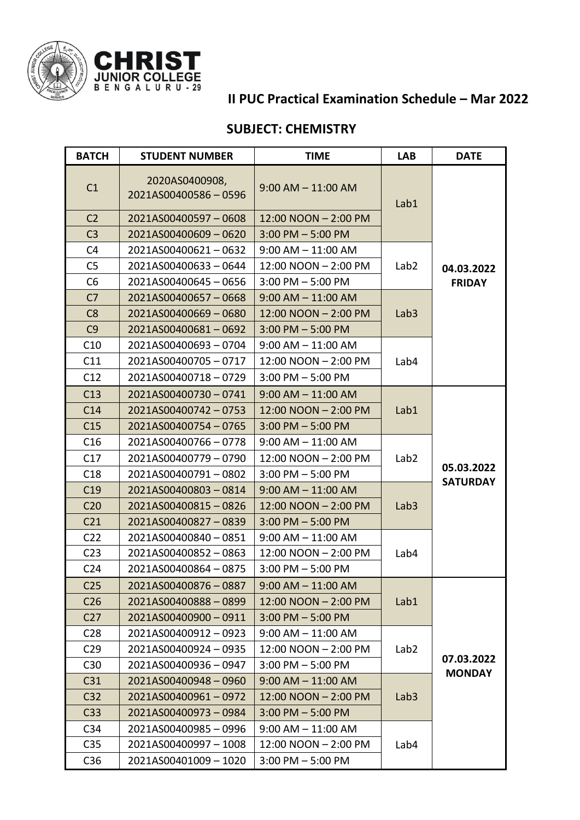

## **II PUC Practical Examination Schedule – Mar 2022**

## **SUBJECT: CHEMISTRY**

| <b>BATCH</b>    | <b>STUDENT NUMBER</b>                 | <b>TIME</b>            | <b>LAB</b>       | <b>DATE</b>     |
|-----------------|---------------------------------------|------------------------|------------------|-----------------|
| C <sub>1</sub>  | 2020AS0400908,<br>2021AS00400586-0596 | $9:00$ AM $- 11:00$ AM | Lab1             |                 |
| C <sub>2</sub>  | 2021AS00400597-0608                   | 12:00 NOON - 2:00 PM   |                  |                 |
| C <sub>3</sub>  | 2021AS00400609-0620                   | $3:00$ PM $-5:00$ PM   |                  |                 |
| C <sub>4</sub>  | 2021AS00400621-0632                   | $9:00$ AM $- 11:00$ AM |                  |                 |
| C <sub>5</sub>  | 2021AS00400633-0644                   | 12:00 NOON - 2:00 PM   | Lab <sub>2</sub> | 04.03.2022      |
| C <sub>6</sub>  | 2021AS00400645-0656                   | $3:00$ PM $-5:00$ PM   |                  | <b>FRIDAY</b>   |
| C <sub>7</sub>  | 2021AS00400657-0668                   | $9:00$ AM $- 11:00$ AM |                  |                 |
| C8              | 2021AS00400669-0680                   | 12:00 NOON - 2:00 PM   | Lab <sub>3</sub> |                 |
| C9              | 2021AS00400681-0692                   | $3:00$ PM $-5:00$ PM   |                  |                 |
| C10             | 2021AS00400693-0704                   | $9:00$ AM $-$ 11:00 AM |                  |                 |
| C11             | 2021AS00400705-0717                   | 12:00 NOON - 2:00 PM   | Lab4             |                 |
| C12             | 2021AS00400718-0729                   | $3:00$ PM $-5:00$ PM   |                  |                 |
| C13             | 2021AS00400730-0741                   | $9:00$ AM $- 11:00$ AM |                  |                 |
| C14             | 2021AS00400742-0753                   | 12:00 NOON - 2:00 PM   | Lab1             |                 |
| C15             | 2021AS00400754-0765                   | $3:00$ PM $-5:00$ PM   |                  |                 |
| C16             | 2021AS00400766-0778                   | $9:00$ AM $-$ 11:00 AM |                  |                 |
| C17             | 2021AS00400779-0790                   | 12:00 NOON - 2:00 PM   | Lab <sub>2</sub> | 05.03.2022      |
| C18             | 2021AS00400791-0802                   | $3:00$ PM $-5:00$ PM   |                  |                 |
| C19             | 2021AS00400803-0814                   | $9:00$ AM $- 11:00$ AM |                  | <b>SATURDAY</b> |
| C <sub>20</sub> | 2021AS00400815-0826                   | 12:00 NOON - 2:00 PM   | Lab <sub>3</sub> |                 |
| C <sub>21</sub> | 2021AS00400827-0839                   | $3:00$ PM $-5:00$ PM   |                  |                 |
| C <sub>22</sub> | 2021AS00400840-0851                   | $9:00$ AM $-11:00$ AM  |                  |                 |
| C <sub>23</sub> | 2021AS00400852-0863                   | 12:00 NOON - 2:00 PM   | Lab4             |                 |
| C <sub>24</sub> | 2021AS00400864-0875                   | $3:00$ PM $-5:00$ PM   |                  |                 |
| C <sub>25</sub> | 2021AS00400876-0887                   | $9:00$ AM $- 11:00$ AM |                  |                 |
| C <sub>26</sub> | 2021AS00400888-0899                   | 12:00 NOON - 2:00 PM   | Lab1             |                 |
| C <sub>27</sub> | 2021AS00400900-0911                   | $3:00$ PM $-5:00$ PM   |                  |                 |
| C <sub>28</sub> | 2021AS00400912-0923                   | $9:00$ AM $-11:00$ AM  |                  |                 |
| C <sub>29</sub> | 2021AS00400924 - 0935                 | 12:00 NOON - 2:00 PM   | Lab <sub>2</sub> |                 |
| C30             | 2021AS00400936-0947                   | $3:00$ PM $-5:00$ PM   |                  | 07.03.2022      |
| C <sub>31</sub> | 2021AS00400948-0960                   | $9:00$ AM $-$ 11:00 AM |                  | <b>MONDAY</b>   |
| C <sub>32</sub> | 2021AS00400961-0972                   | 12:00 NOON - 2:00 PM   | Lab <sub>3</sub> |                 |
| C <sub>33</sub> | 2021AS00400973-0984                   | $3:00$ PM $-5:00$ PM   |                  |                 |
| C <sub>34</sub> | 2021AS00400985-0996                   | $9:00$ AM $-$ 11:00 AM |                  |                 |
| C <sub>35</sub> | 2021AS00400997-1008                   | 12:00 NOON - 2:00 PM   | Lab4             |                 |
| C36             | 2021AS00401009 - 1020                 | $3:00$ PM $-5:00$ PM   |                  |                 |